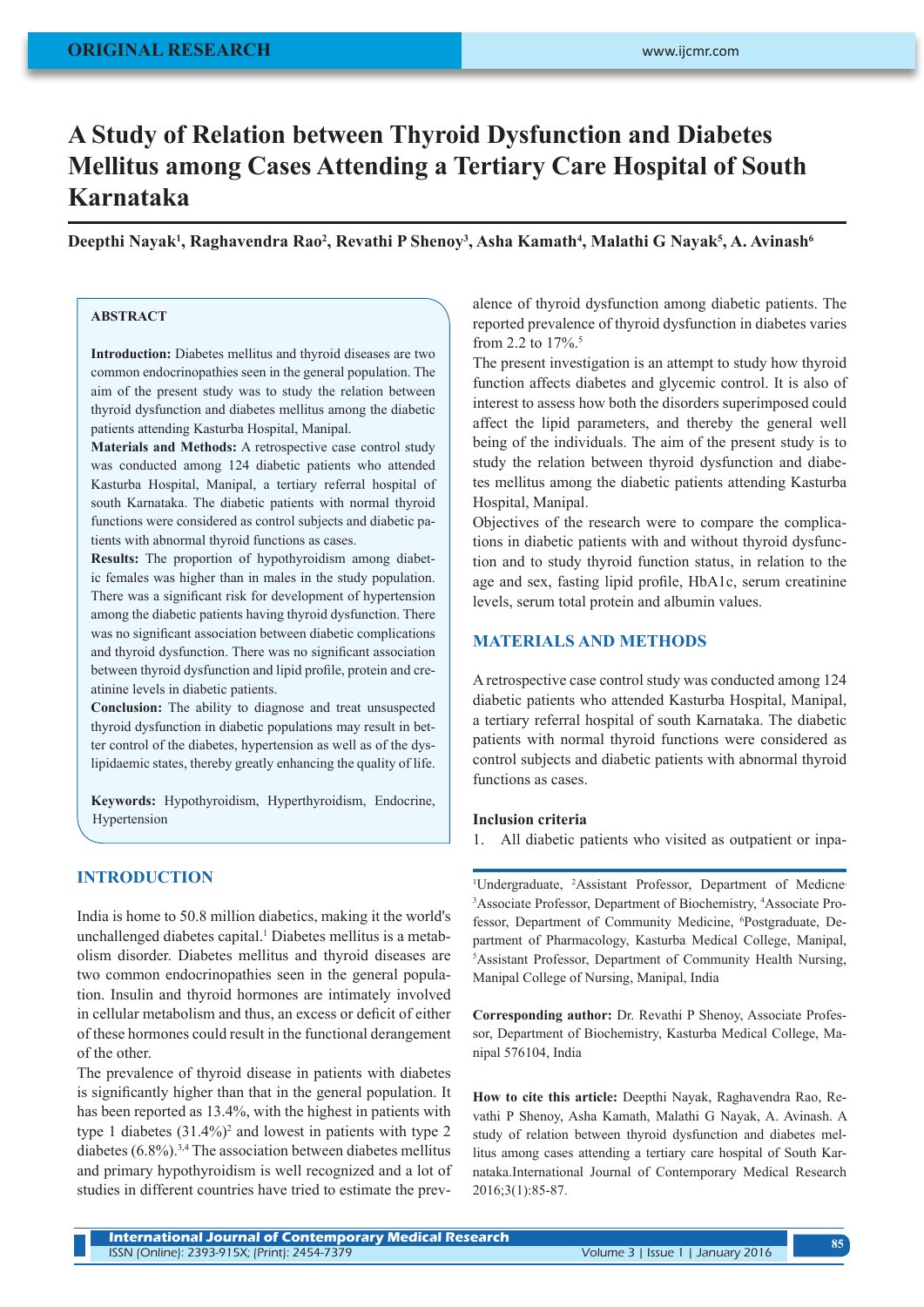# **A Study of Relation between Thyroid Dysfunction and Diabetes Mellitus among Cases Attending a Tertiary Care Hospital of South Karnataka**

Deepthi Nayak<sup>1</sup>, Raghavendra Rao<sup>2</sup>, Revathi P Shenoy<sup>3</sup>, Asha Kamath<sup>4</sup>, Malathi G Nayak<sup>5</sup>, A. Avinash<sup>6</sup>

# **ABSTRACT**

**Introduction:** Diabetes mellitus and thyroid diseases are two common endocrinopathies seen in the general population. The aim of the present study was to study the relation between thyroid dysfunction and diabetes mellitus among the diabetic patients attending Kasturba Hospital, Manipal.

**Materials and Methods:** A retrospective case control study was conducted among 124 diabetic patients who attended Kasturba Hospital, Manipal, a tertiary referral hospital of south Karnataka. The diabetic patients with normal thyroid functions were considered as control subjects and diabetic patients with abnormal thyroid functions as cases.

**Results:** The proportion of hypothyroidism among diabetic females was higher than in males in the study population. There was a significant risk for development of hypertension among the diabetic patients having thyroid dysfunction. There was no significant association between diabetic complications and thyroid dysfunction. There was no significant association between thyroid dysfunction and lipid profile, protein and creatinine levels in diabetic patients.

**Conclusion:** The ability to diagnose and treat unsuspected thyroid dysfunction in diabetic populations may result in better control of the diabetes, hypertension as well as of the dyslipidaemic states, thereby greatly enhancing the quality of life.

**Keywords:** Hypothyroidism, Hyperthyroidism, Endocrine, Hypertension

## **INTRODUCTION**

India is home to 50.8 million diabetics, making it the world's unchallenged diabetes capital.<sup>1</sup> Diabetes mellitus is a metabolism disorder. Diabetes mellitus and thyroid diseases are two common endocrinopathies seen in the general population. Insulin and thyroid hormones are intimately involved in cellular metabolism and thus, an excess or deficit of either of these hormones could result in the functional derangement of the other.

The prevalence of thyroid disease in patients with diabetes is significantly higher than that in the general population. It has been reported as 13.4%, with the highest in patients with type 1 diabetes  $(31.4\%)^2$  and lowest in patients with type 2 diabetes  $(6.8\%)$ <sup>3,4</sup> The association between diabetes mellitus and primary hypothyroidism is well recognized and a lot of studies in different countries have tried to estimate the prevalence of thyroid dysfunction among diabetic patients. The reported prevalence of thyroid dysfunction in diabetes varies from 2.2 to  $17\%$ <sup>5</sup>.

The present investigation is an attempt to study how thyroid function affects diabetes and glycemic control. It is also of interest to assess how both the disorders superimposed could affect the lipid parameters, and thereby the general well being of the individuals. The aim of the present study is to study the relation between thyroid dysfunction and diabetes mellitus among the diabetic patients attending Kasturba Hospital, Manipal.

Objectives of the research were to compare the complications in diabetic patients with and without thyroid dysfunction and to study thyroid function status, in relation to the age and sex, fasting lipid profile, HbA1c, serum creatinine levels, serum total protein and albumin values.

## **MATERIALS AND METHODS**

A retrospective case control study was conducted among 124 diabetic patients who attended Kasturba Hospital, Manipal, a tertiary referral hospital of south Karnataka. The diabetic patients with normal thyroid functions were considered as control subjects and diabetic patients with abnormal thyroid functions as cases.

#### **Inclusion criteria**

1. All diabetic patients who visited as outpatient or inpa-

<sup>1</sup>Undergraduate, <sup>2</sup>Assistant Professor, Department of Medicne <sup>3</sup> Associate Professor, Department of Biochemistry, <sup>4</sup> Associate Professor, Department of Community Medicine, <sup>6</sup>Postgraduate, Department of Pharmacology, Kasturba Medical College, Manipal, 5 Assistant Professor, Department of Community Health Nursing, Manipal College of Nursing, Manipal, India

**Corresponding author:** Dr. Revathi P Shenoy, Associate Professor, Department of Biochemistry, Kasturba Medical College, Manipal 576104, India

**How to cite this article:** Deepthi Nayak, Raghavendra Rao, Revathi P Shenoy, Asha Kamath, Malathi G Nayak, A. Avinash. A study of relation between thyroid dysfunction and diabetes mellitus among cases attending a tertiary care hospital of South Karnataka.International Journal of Contemporary Medical Research 2016;3(1):85-87.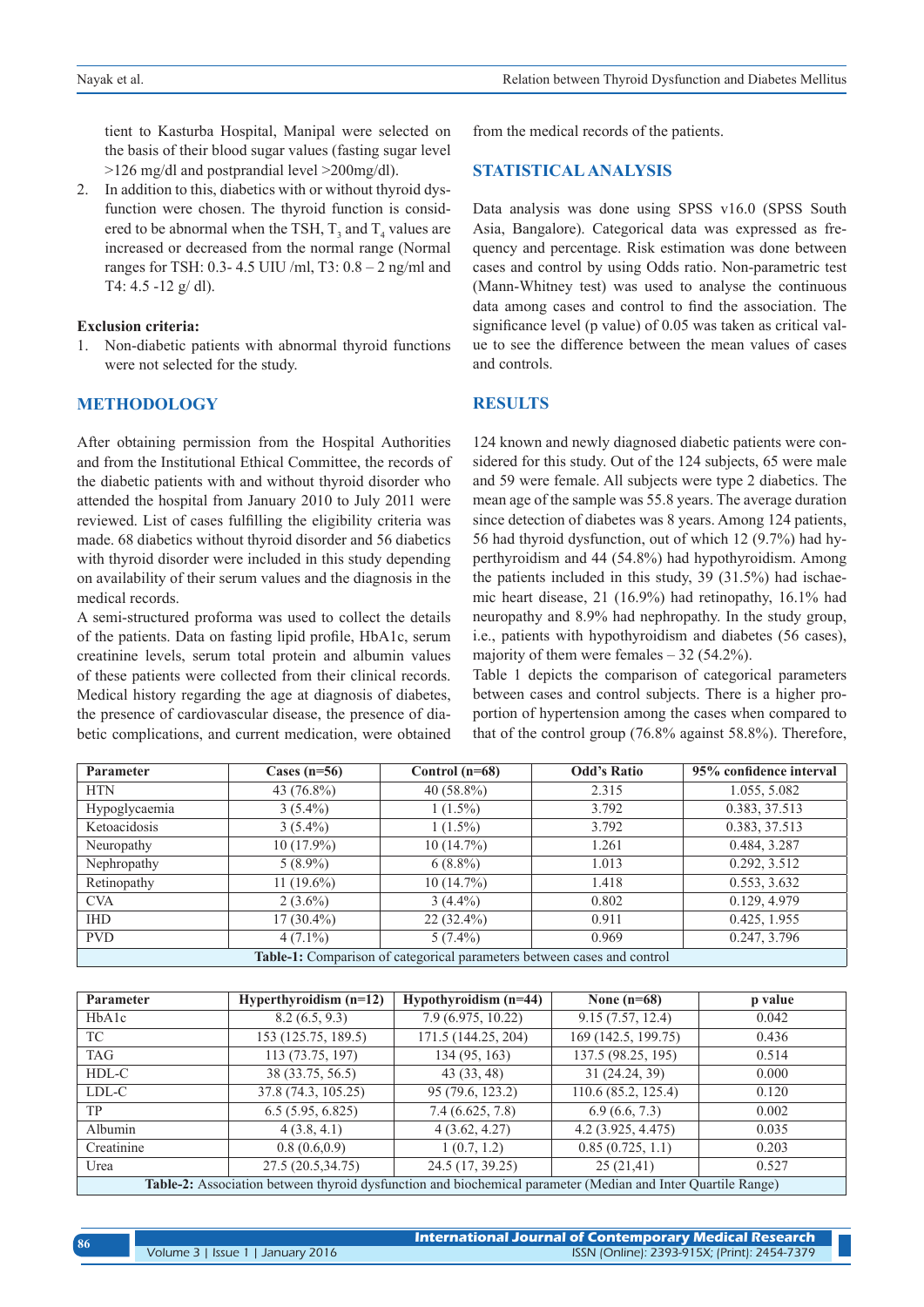tient to Kasturba Hospital, Manipal were selected on the basis of their blood sugar values (fasting sugar level >126 mg/dl and postprandial level >200mg/dl).

2. In addition to this, diabetics with or without thyroid dysfunction were chosen. The thyroid function is considered to be abnormal when the TSH,  $T_3$  and  $T_4$  values are increased or decreased from the normal range (Normal ranges for TSH: 0.3- 4.5 UIU /ml, T3: 0.8 – 2 ng/ml and T4:  $4.5 - 12$  g/dl).

#### **Exclusion criteria:**

1. Non-diabetic patients with abnormal thyroid functions were not selected for the study.

#### **METHODOLOGY**

After obtaining permission from the Hospital Authorities and from the Institutional Ethical Committee, the records of the diabetic patients with and without thyroid disorder who attended the hospital from January 2010 to July 2011 were reviewed. List of cases fulfilling the eligibility criteria was made. 68 diabetics without thyroid disorder and 56 diabetics with thyroid disorder were included in this study depending on availability of their serum values and the diagnosis in the medical records.

A semi-structured proforma was used to collect the details of the patients. Data on fasting lipid profile, HbA1c, serum creatinine levels, serum total protein and albumin values of these patients were collected from their clinical records. Medical history regarding the age at diagnosis of diabetes, the presence of cardiovascular disease, the presence of diabetic complications, and current medication, were obtained from the medical records of the patients.

#### **STATISTICAL ANALYSIS**

Data analysis was done using SPSS v16.0 (SPSS South Asia, Bangalore). Categorical data was expressed as frequency and percentage. Risk estimation was done between cases and control by using Odds ratio. Non-parametric test (Mann-Whitney test) was used to analyse the continuous data among cases and control to find the association. The significance level (p value) of 0.05 was taken as critical value to see the difference between the mean values of cases and controls.

## **RESULTS**

124 known and newly diagnosed diabetic patients were considered for this study. Out of the 124 subjects, 65 were male and 59 were female. All subjects were type 2 diabetics. The mean age of the sample was 55.8 years. The average duration since detection of diabetes was 8 years. Among 124 patients, 56 had thyroid dysfunction, out of which 12 (9.7%) had hyperthyroidism and 44 (54.8%) had hypothyroidism. Among the patients included in this study, 39 (31.5%) had ischaemic heart disease, 21 (16.9%) had retinopathy, 16.1% had neuropathy and 8.9% had nephropathy. In the study group, i.e., patients with hypothyroidism and diabetes (56 cases), majority of them were females  $-32$  (54.2%).

Table 1 depicts the comparison of categorical parameters between cases and control subjects. There is a higher proportion of hypertension among the cases when compared to that of the control group (76.8% against 58.8%). Therefore,

| Parameter                                                               | Cases $(n=56)$ | Control $(n=68)$ | <b>Odd's Ratio</b> | 95% confidence interval |  |  |
|-------------------------------------------------------------------------|----------------|------------------|--------------------|-------------------------|--|--|
| <b>HTN</b>                                                              | 43 (76.8%)     | 40 $(58.8\%)$    | 2.315              | 1.055, 5.082            |  |  |
| Hypoglycaemia                                                           | $3(5.4\%)$     | $1(1.5\%)$       | 3.792              | 0.383, 37.513           |  |  |
| Ketoacidosis                                                            | $3(5.4\%)$     | $1(1.5\%)$       | 3.792              | 0.383, 37.513           |  |  |
| Neuropathy                                                              | $10(17.9\%)$   | 10(14.7%)        | 1.261              | 0.484, 3.287            |  |  |
| Nephropathy                                                             | $5(8.9\%)$     | $6(8.8\%)$       | 1.013              | 0.292, 3.512            |  |  |
| Retinopathy                                                             | 11 $(19.6\%)$  | $10(14.7\%)$     | 1.418              | 0.553, 3.632            |  |  |
| <b>CVA</b>                                                              | $2(3.6\%)$     | $3(4.4\%)$       | 0.802              | 0.129, 4.979            |  |  |
| <b>IHD</b>                                                              | $17(30.4\%)$   | $22(32.4\%)$     | 0.911              | 0.425, 1.955            |  |  |
| <b>PVD</b>                                                              | $4(7.1\%)$     | $5(7.4\%)$       | 0.969              | 0.247, 3.796            |  |  |
| Table-1: Comparison of categorical parameters between cases and control |                |                  |                    |                         |  |  |

| Parameter                                                                                                    | Hyperthyroidism $(n=12)$ | Hypothyroidism $(n=44)$ | None $(n=68)$       | p value |  |  |
|--------------------------------------------------------------------------------------------------------------|--------------------------|-------------------------|---------------------|---------|--|--|
| HbA1c                                                                                                        | 8.2(6.5, 9.3)            | 7.9 (6.975, 10.22)      | 9.15(7.57, 12.4)    | 0.042   |  |  |
| TC                                                                                                           | 153 (125.75, 189.5)      | 171.5 (144.25, 204)     | 169 (142.5, 199.75) | 0.436   |  |  |
| <b>TAG</b>                                                                                                   | 113 (73.75, 197)         | 134 (95, 163)           | 137.5 (98.25, 195)  | 0.514   |  |  |
| HDL-C                                                                                                        | 38 (33.75, 56.5)         | 43 (33, 48)             | 31 (24.24, 39)      | 0.000   |  |  |
| LDL-C                                                                                                        | 37.8 (74.3, 105.25)      | 95 (79.6, 123.2)        | 110.6 (85.2, 125.4) | 0.120   |  |  |
| <b>TP</b>                                                                                                    | 6.5(5.95, 6.825)         | 7.4(6.625, 7.8)         | 6.9(6.6, 7.3)       | 0.002   |  |  |
| Albumin                                                                                                      | 4(3.8, 4.1)              | 4(3.62, 4.27)           | 4.2 (3.925, 4.475)  | 0.035   |  |  |
| Creatinine                                                                                                   | 0.8(0.6, 0.9)            | 1(0.7, 1.2)             | 0.85(0.725, 1.1)    | 0.203   |  |  |
| Urea                                                                                                         | 27.5 (20.5,34.75)        | 24.5 (17, 39.25)        | 25(21,41)           | 0.527   |  |  |
| Table-2: Association between thyroid dysfunction and biochemical parameter (Median and Inter Quartile Range) |                          |                         |                     |         |  |  |